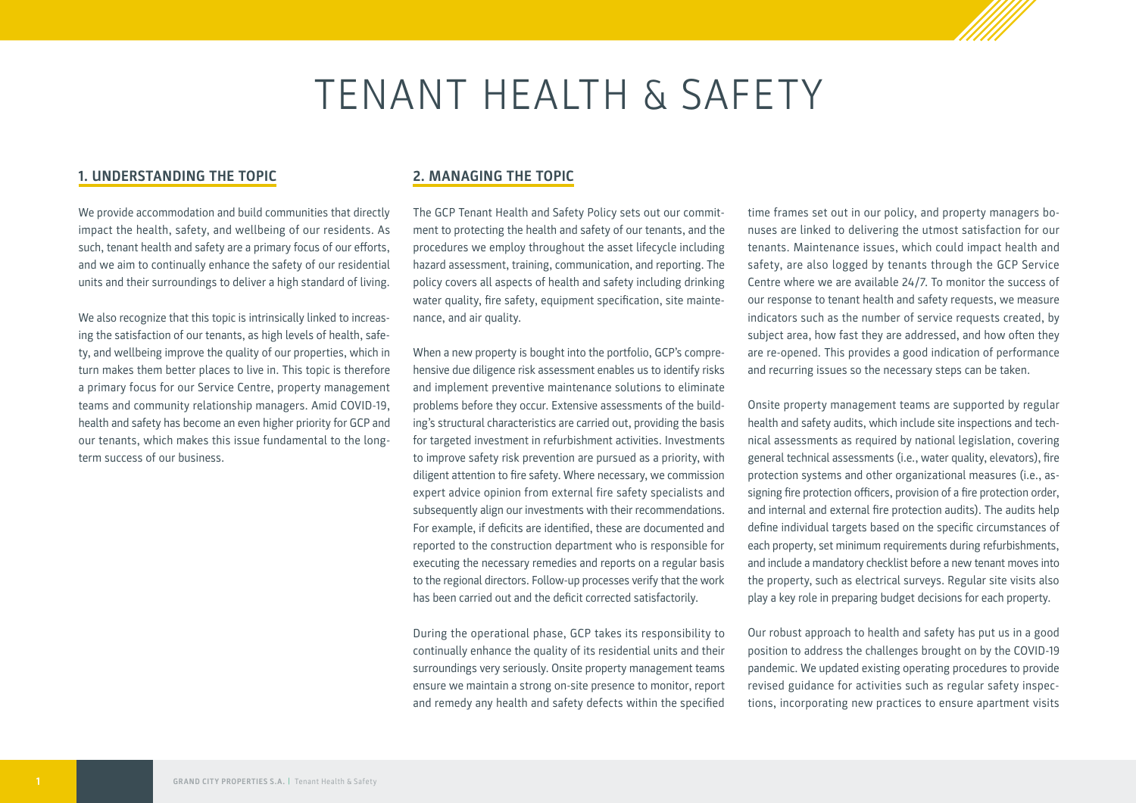# TENANT HEALTH & SAFETY

## **1. UNDERSTANDING THE TOPIC**

We provide accommodation and build communities that directly impact the health, safety, and wellbeing of our residents. As such, tenant health and safety are a primary focus of our efforts, and we aim to continually enhance the safety of our residential units and their surroundings to deliver a high standard of living.

We also recognize that this topic is intrinsically linked to increasing the satisfaction of our tenants, as high levels of health, safety, and wellbeing improve the quality of our properties, which in turn makes them better places to live in. This topic is therefore a primary focus for our Service Centre, property management teams and community relationship managers. Amid COVID-19, health and safety has become an even higher priority for GCP and our tenants, which makes this issue fundamental to the longterm success of our business.

## **2. MANAGING THE TOPIC**

The GCP Tenant Health and Safety Policy sets out our commitment to protecting the health and safety of our tenants, and the procedures we employ throughout the asset lifecycle including hazard assessment, training, communication, and reporting. The policy covers all aspects of health and safety including drinking water quality, fire safety, equipment specification, site maintenance, and air quality.

When a new property is bought into the portfolio, GCP's comprehensive due diligence risk assessment enables us to identify risks and implement preventive maintenance solutions to eliminate problems before they occur. Extensive assessments of the building's structural characteristics are carried out, providing the basis for targeted investment in refurbishment activities. Investments to improve safety risk prevention are pursued as a priority, with diligent attention to fire safety. Where necessary, we commission expert advice opinion from external fire safety specialists and subsequently align our investments with their recommendations. For example, if deficits are identified, these are documented and reported to the construction department who is responsible for executing the necessary remedies and reports on a regular basis to the regional directors. Follow-up processes verify that the work has been carried out and the deficit corrected satisfactorily.

During the operational phase, GCP takes its responsibility to continually enhance the quality of its residential units and their surroundings very seriously. Onsite property management teams ensure we maintain a strong on-site presence to monitor, report and remedy any health and safety defects within the specified

time frames set out in our policy, and property managers bonuses are linked to delivering the utmost satisfaction for our tenants. Maintenance issues, which could impact health and safety, are also logged by tenants through the GCP Service Centre where we are available 24/7. To monitor the success of our response to tenant health and safety requests, we measure indicators such as the number of service requests created, by subject area, how fast they are addressed, and how often they are re-opened. This provides a good indication of performance and recurring issues so the necessary steps can be taken.

Onsite property management teams are supported by regular health and safety audits, which include site inspections and technical assessments as required by national legislation, covering general technical assessments (i.e., water quality, elevators), fire protection systems and other organizational measures (i.e., assigning fire protection officers, provision of a fire protection order, and internal and external fire protection audits). The audits help define individual targets based on the specific circumstances of each property, set minimum requirements during refurbishments, and include a mandatory checklist before a new tenant moves into the property, such as electrical surveys. Regular site visits also play a key role in preparing budget decisions for each property.

Our robust approach to health and safety has put us in a good position to address the challenges brought on by the COVID-19 pandemic. We updated existing operating procedures to provide revised guidance for activities such as regular safety inspections, incorporating new practices to ensure apartment visits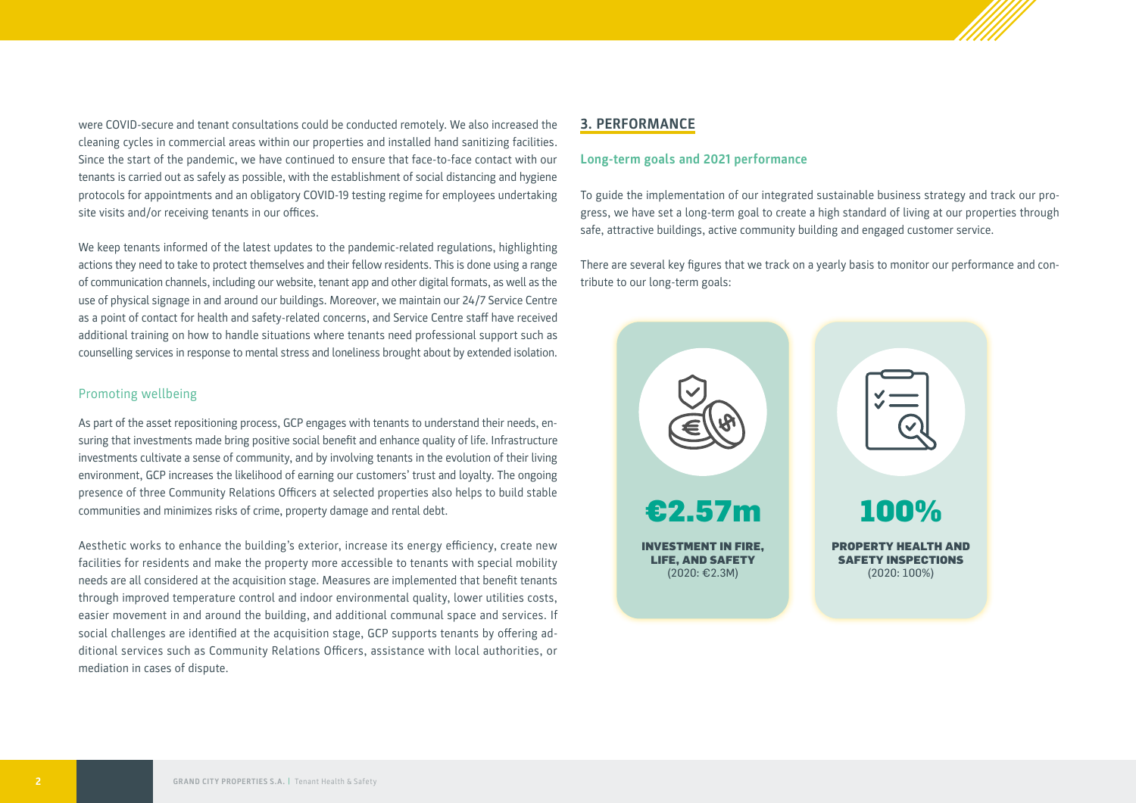were COVID-secure and tenant consultations could be conducted remotely. We also increased the cleaning cycles in commercial areas within our properties and installed hand sanitizing facilities. Since the start of the pandemic, we have continued to ensure that face-to-face contact with our tenants is carried out as safely as possible, with the establishment of social distancing and hygiene protocols for appointments and an obligatory COVID-19 testing regime for employees undertaking site visits and/or receiving tenants in our offices.

We keep tenants informed of the latest updates to the pandemic-related regulations, highlighting actions they need to take to protect themselves and their fellow residents. This is done using a range of communication channels, including our website, tenant app and other digital formats, as well as the use of physical signage in and around our buildings. Moreover, we maintain our 24/7 Service Centre as a point of contact for health and safety-related concerns, and Service Centre staff have received additional training on how to handle situations where tenants need professional support such as counselling services in response to mental stress and loneliness brought about by extended isolation.

### Promoting wellbeing

As part of the asset repositioning process, GCP engages with tenants to understand their needs, ensuring that investments made bring positive social benefit and enhance quality of life. Infrastructure investments cultivate a sense of community, and by involving tenants in the evolution of their living environment, GCP increases the likelihood of earning our customers' trust and loyalty. The ongoing presence of three Community Relations Officers at selected properties also helps to build stable communities and minimizes risks of crime, property damage and rental debt.

Aesthetic works to enhance the building's exterior, increase its energy efficiency, create new facilities for residents and make the property more accessible to tenants with special mobility needs are all considered at the acquisition stage. Measures are implemented that benefit tenants through improved temperature control and indoor environmental quality, lower utilities costs, easier movement in and around the building, and additional communal space and services. If social challenges are identified at the acquisition stage, GCP supports tenants by offering additional services such as Community Relations Officers, assistance with local authorities, or mediation in cases of dispute.

## **3. PERFORMANCE**

#### **Long-term goals and 2021 performance**

To guide the implementation of our integrated sustainable business strategy and track our progress, we have set a long-term goal to create a high standard of living at our properties through safe, attractive buildings, active community building and engaged customer service.

There are several key figures that we track on a yearly basis to monitor our performance and contribute to our long-term goals: